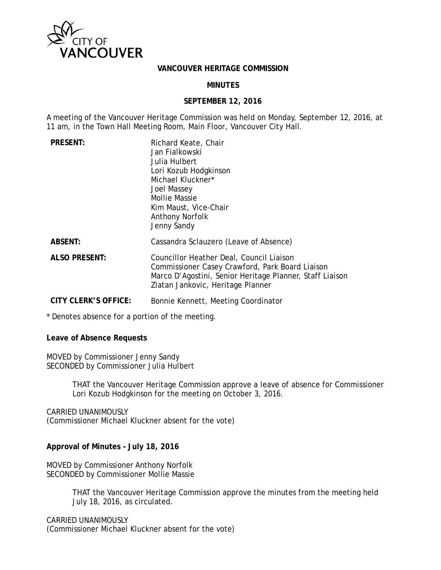

### **VANCOUVER HERITAGE COMMISSION**

## **MINUTES**

### **SEPTEMBER 12, 2016**

A meeting of the Vancouver Heritage Commission was held on Monday, September 12, 2016, at 11 am, in the Town Hall Meeting Room, Main Floor, Vancouver City Hall.

| <b>PRESENT:</b>             | Richard Keate, Chair<br>Jan Fialkowski<br>Julia Hulbert<br>Lori Kozub Hodgkinson<br>Michael Kluckner*<br>Joel Massey<br><b>Mollie Massie</b><br>Kim Maust, Vice-Chair<br><b>Anthony Norfolk</b><br>Jenny Sandy |
|-----------------------------|----------------------------------------------------------------------------------------------------------------------------------------------------------------------------------------------------------------|
| <b>ABSENT:</b>              | Cassandra Sclauzero (Leave of Absence)                                                                                                                                                                         |
| <b>ALSO PRESENT:</b>        | Councillor Heather Deal, Council Liaison<br>Commissioner Casey Crawford, Park Board Liaison<br>Marco D'Agostini, Senior Heritage Planner, Staff Liaison<br>Zlatan Jankovic, Heritage Planner                   |
| <b>CITY CLERK'S OFFICE:</b> | Bonnie Kennett, Meeting Coordinator                                                                                                                                                                            |

\* Denotes absence for a portion of the meeting.

### **Leave of Absence Requests**

MOVED by Commissioner Jenny Sandy SECONDED by Commissioner Julia Hulbert

> THAT the Vancouver Heritage Commission approve a leave of absence for Commissioner Lori Kozub Hodgkinson for the meeting on October 3, 2016.

CARRIED UNANIMOUSLY (Commissioner Michael Kluckner absent for the vote)

### **Approval of Minutes – July 18, 2016**

MOVED by Commissioner Anthony Norfolk SECONDED by Commissioner Mollie Massie

> THAT the Vancouver Heritage Commission approve the minutes from the meeting held July 18, 2016, as circulated.

CARRIED UNANIMOUSLY (Commissioner Michael Kluckner absent for the vote)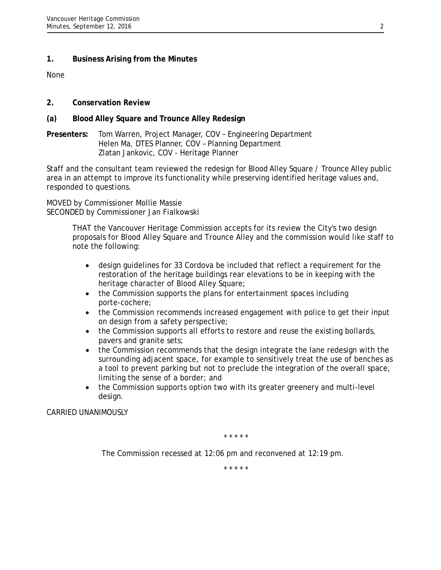## **1. Business Arising from the Minutes**

None

- **2. Conservation Review**
- **(a) Blood Alley Square and Trounce Alley Redesign**
- **Presenters:** Tom Warren, Project Manager, COV Engineering Department Helen Ma, DTES Planner, COV – Planning Department Zlatan Jankovic, COV - Heritage Planner

Staff and the consultant team reviewed the redesign for Blood Alley Square / Trounce Alley public area in an attempt to improve its functionality while preserving identified heritage values and, responded to questions.

MOVED by Commissioner Mollie Massie SECONDED by Commissioner Jan Fialkowski

> THAT the Vancouver Heritage Commission accepts for its review the City's two design proposals for Blood Alley Square and Trounce Alley and the commission would like staff to note the following:

- design guidelines for 33 Cordova be included that reflect a requirement for the restoration of the heritage buildings rear elevations to be in keeping with the heritage character of Blood Alley Square;
- the Commission supports the plans for entertainment spaces including porte-cochere;
- the Commission recommends increased engagement with police to get their input on design from a safety perspective;
- the Commission supports all efforts to restore and reuse the existing bollards, pavers and granite sets;
- the Commission recommends that the design integrate the lane redesign with the surrounding adjacent space, for example to sensitively treat the use of benches as a tool to prevent parking but not to preclude the integration of the overall space, limiting the sense of a border; and
- the Commission supports option two with its greater greenery and multi-level design.

CARRIED UNANIMOUSLY

*\* \* \* \* \**

*The Commission recessed at 12:06 pm and reconvened at 12:19 pm.*

*\* \* \* \* \**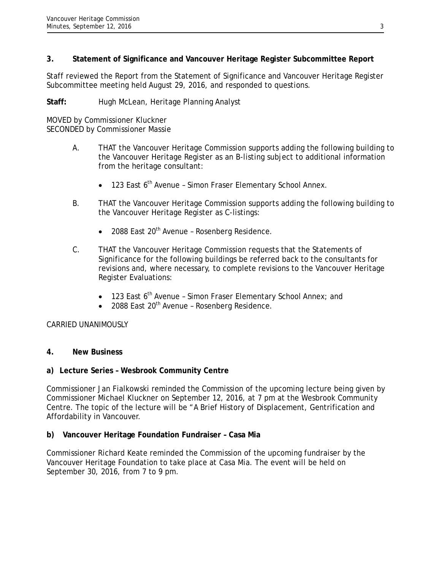# **3. Statement of Significance and Vancouver Heritage Register Subcommittee Report**

Staff reviewed the Report from the Statement of Significance and Vancouver Heritage Register Subcommittee meeting held August 29, 2016, and responded to questions.

## **Staff:** Hugh McLean, Heritage Planning Analyst

MOVED by Commissioner Kluckner SECONDED by Commissioner Massie

- A. THAT the Vancouver Heritage Commission supports adding the following building to the Vancouver Heritage Register as an B-listing subject to additional information from the heritage consultant:
	- 123 East 6<sup>th</sup> Avenue Simon Fraser Elementary School Annex.
- B. THAT the Vancouver Heritage Commission supports adding the following building to the Vancouver Heritage Register as C-listings:
	- 2088 East 20<sup>th</sup> Avenue Rosenberg Residence.
- C. THAT the Vancouver Heritage Commission requests that the Statements of Significance for the following buildings be referred back to the consultants for revisions and, where necessary, to complete revisions to the Vancouver Heritage Register Evaluations:
	- 123 East 6<sup>th</sup> Avenue Simon Fraser Elementary School Annex; and
	- 2088 East 20th Avenue Rosenberg Residence.

# CARRIED UNANIMOUSLY

# **4. New Business**

# **a) Lecture Series – Wesbrook Community Centre**

Commissioner Jan Fialkowski reminded the Commission of the upcoming lecture being given by Commissioner Michael Kluckner on September 12, 2016, at 7 pm at the Wesbrook Community Centre. The topic of the lecture will be "A Brief History of Displacement, Gentrification and Affordability in Vancouver.

# **b) Vancouver Heritage Foundation Fundraiser – Casa Mia**

Commissioner Richard Keate reminded the Commission of the upcoming fundraiser by the Vancouver Heritage Foundation to take place at Casa Mia. The event will be held on September 30, 2016, from 7 to 9 pm.